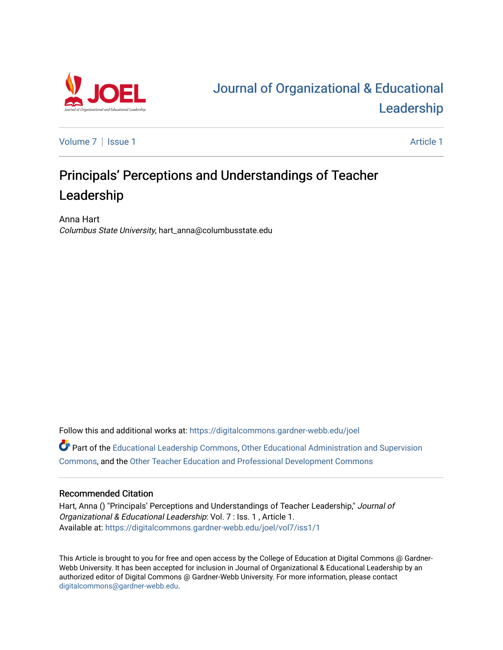

# [Journal of Organizational & Educational](https://digitalcommons.gardner-webb.edu/joel)  [Leadership](https://digitalcommons.gardner-webb.edu/joel)

[Volume 7](https://digitalcommons.gardner-webb.edu/joel/vol7) | [Issue 1](https://digitalcommons.gardner-webb.edu/joel/vol7/iss1) Article 1

# Principals' Perceptions and Understandings of Teacher Leadership

Anna Hart Columbus State University, hart\_anna@columbusstate.edu

Follow this and additional works at: [https://digitalcommons.gardner-webb.edu/joel](https://digitalcommons.gardner-webb.edu/joel?utm_source=digitalcommons.gardner-webb.edu%2Fjoel%2Fvol7%2Fiss1%2F1&utm_medium=PDF&utm_campaign=PDFCoverPages) 

Part of the [Educational Leadership Commons,](http://network.bepress.com/hgg/discipline/1230?utm_source=digitalcommons.gardner-webb.edu%2Fjoel%2Fvol7%2Fiss1%2F1&utm_medium=PDF&utm_campaign=PDFCoverPages) [Other Educational Administration and Supervision](http://network.bepress.com/hgg/discipline/794?utm_source=digitalcommons.gardner-webb.edu%2Fjoel%2Fvol7%2Fiss1%2F1&utm_medium=PDF&utm_campaign=PDFCoverPages) [Commons](http://network.bepress.com/hgg/discipline/794?utm_source=digitalcommons.gardner-webb.edu%2Fjoel%2Fvol7%2Fiss1%2F1&utm_medium=PDF&utm_campaign=PDFCoverPages), and the [Other Teacher Education and Professional Development Commons](http://network.bepress.com/hgg/discipline/810?utm_source=digitalcommons.gardner-webb.edu%2Fjoel%2Fvol7%2Fiss1%2F1&utm_medium=PDF&utm_campaign=PDFCoverPages)

# Recommended Citation

Hart, Anna () "Principals' Perceptions and Understandings of Teacher Leadership," Journal of Organizational & Educational Leadership: Vol. 7 : Iss. 1 , Article 1. Available at: [https://digitalcommons.gardner-webb.edu/joel/vol7/iss1/1](https://digitalcommons.gardner-webb.edu/joel/vol7/iss1/1?utm_source=digitalcommons.gardner-webb.edu%2Fjoel%2Fvol7%2Fiss1%2F1&utm_medium=PDF&utm_campaign=PDFCoverPages)

This Article is brought to you for free and open access by the College of Education at Digital Commons @ Gardner-Webb University. It has been accepted for inclusion in Journal of Organizational & Educational Leadership by an authorized editor of Digital Commons @ Gardner-Webb University. For more information, please contact [digitalcommons@gardner-webb.edu](mailto:digitalcommons@gardner-webb.edu).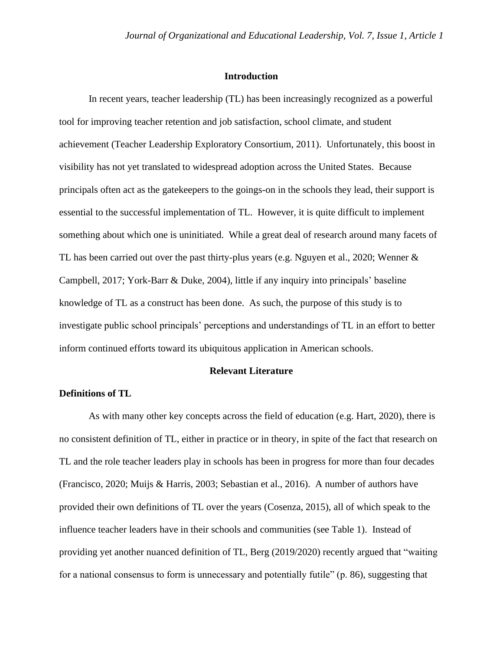## **Introduction**

In recent years, teacher leadership (TL) has been increasingly recognized as a powerful tool for improving teacher retention and job satisfaction, school climate, and student achievement (Teacher Leadership Exploratory Consortium, 2011). Unfortunately, this boost in visibility has not yet translated to widespread adoption across the United States. Because principals often act as the gatekeepers to the goings-on in the schools they lead, their support is essential to the successful implementation of TL. However, it is quite difficult to implement something about which one is uninitiated. While a great deal of research around many facets of TL has been carried out over the past thirty-plus years (e.g. Nguyen et al., 2020; Wenner & Campbell, 2017; York-Barr & Duke, 2004), little if any inquiry into principals' baseline knowledge of TL as a construct has been done. As such, the purpose of this study is to investigate public school principals' perceptions and understandings of TL in an effort to better inform continued efforts toward its ubiquitous application in American schools.

# **Relevant Literature**

# **Definitions of TL**

As with many other key concepts across the field of education (e.g. Hart, 2020), there is no consistent definition of TL, either in practice or in theory, in spite of the fact that research on TL and the role teacher leaders play in schools has been in progress for more than four decades (Francisco, 2020; Muijs & Harris, 2003; Sebastian et al., 2016). A number of authors have provided their own definitions of TL over the years (Cosenza, 2015), all of which speak to the influence teacher leaders have in their schools and communities (see Table 1). Instead of providing yet another nuanced definition of TL, Berg (2019/2020) recently argued that "waiting for a national consensus to form is unnecessary and potentially futile" (p. 86), suggesting that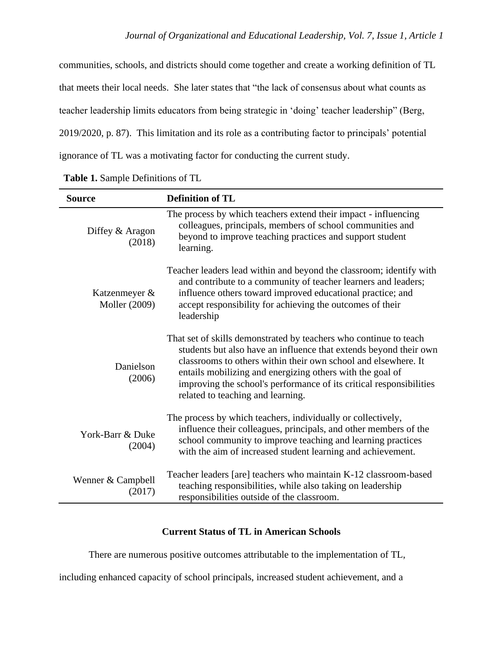communities, schools, and districts should come together and create a working definition of TL that meets their local needs. She later states that "the lack of consensus about what counts as teacher leadership limits educators from being strategic in 'doing' teacher leadership" (Berg, 2019/2020, p. 87). This limitation and its role as a contributing factor to principals' potential ignorance of TL was a motivating factor for conducting the current study.

| <b>Source</b>                         | <b>Definition of TL</b>                                                                                                                                                                                                                                                                                                                                                           |
|---------------------------------------|-----------------------------------------------------------------------------------------------------------------------------------------------------------------------------------------------------------------------------------------------------------------------------------------------------------------------------------------------------------------------------------|
| Diffey & Aragon<br>(2018)             | The process by which teachers extend their impact - influencing<br>colleagues, principals, members of school communities and<br>beyond to improve teaching practices and support student<br>learning.                                                                                                                                                                             |
| Katzenmeyer &<br><b>Moller</b> (2009) | Teacher leaders lead within and beyond the classroom; identify with<br>and contribute to a community of teacher learners and leaders;<br>influence others toward improved educational practice; and<br>accept responsibility for achieving the outcomes of their<br>leadership                                                                                                    |
| Danielson<br>(2006)                   | That set of skills demonstrated by teachers who continue to teach<br>students but also have an influence that extends beyond their own<br>classrooms to others within their own school and elsewhere. It<br>entails mobilizing and energizing others with the goal of<br>improving the school's performance of its critical responsibilities<br>related to teaching and learning. |
| York-Barr & Duke<br>(2004)            | The process by which teachers, individually or collectively,<br>influence their colleagues, principals, and other members of the<br>school community to improve teaching and learning practices<br>with the aim of increased student learning and achievement.                                                                                                                    |
| Wenner & Campbell<br>(2017)           | Teacher leaders [are] teachers who maintain K-12 classroom-based<br>teaching responsibilities, while also taking on leadership<br>responsibilities outside of the classroom.                                                                                                                                                                                                      |

|  |  | Table 1. Sample Definitions of TL |  |  |
|--|--|-----------------------------------|--|--|
|--|--|-----------------------------------|--|--|

# **Current Status of TL in American Schools**

There are numerous positive outcomes attributable to the implementation of TL,

including enhanced capacity of school principals, increased student achievement, and a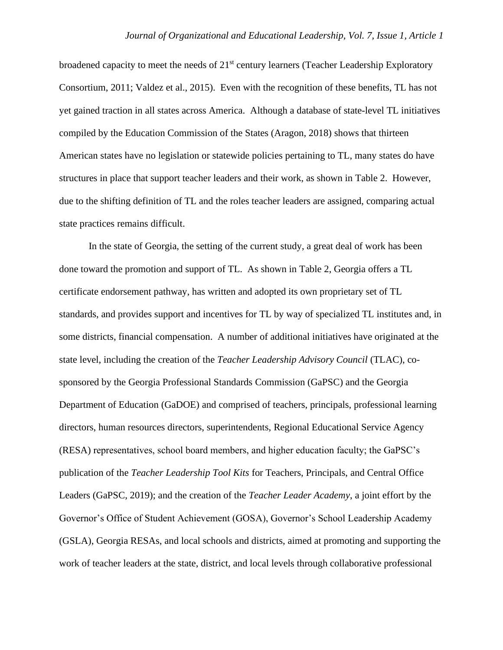broadened capacity to meet the needs of  $21<sup>st</sup>$  century learners (Teacher Leadership Exploratory Consortium, 2011; Valdez et al., 2015). Even with the recognition of these benefits, TL has not yet gained traction in all states across America. Although a database of state-level TL initiatives compiled by the Education Commission of the States (Aragon, 2018) shows that thirteen American states have no legislation or statewide policies pertaining to TL, many states do have structures in place that support teacher leaders and their work, as shown in Table 2. However, due to the shifting definition of TL and the roles teacher leaders are assigned, comparing actual state practices remains difficult.

In the state of Georgia, the setting of the current study, a great deal of work has been done toward the promotion and support of TL. As shown in Table 2, Georgia offers a TL certificate endorsement pathway, has written and adopted its own proprietary set of TL standards, and provides support and incentives for TL by way of specialized TL institutes and, in some districts, financial compensation. A number of additional initiatives have originated at the state level, including the creation of the *Teacher Leadership Advisory Council* (TLAC), cosponsored by the Georgia Professional Standards Commission (GaPSC) and the Georgia Department of Education (GaDOE) and comprised of teachers, principals, professional learning directors, human resources directors, superintendents, Regional Educational Service Agency (RESA) representatives, school board members, and higher education faculty; the GaPSC's publication of the *Teacher Leadership Tool Kits* for Teachers, Principals, and Central Office Leaders (GaPSC, 2019); and the creation of the *Teacher Leader Academy*, a joint effort by the Governor's Office of Student Achievement (GOSA), Governor's School Leadership Academy (GSLA), Georgia RESAs, and local schools and districts, aimed at promoting and supporting the work of teacher leaders at the state, district, and local levels through collaborative professional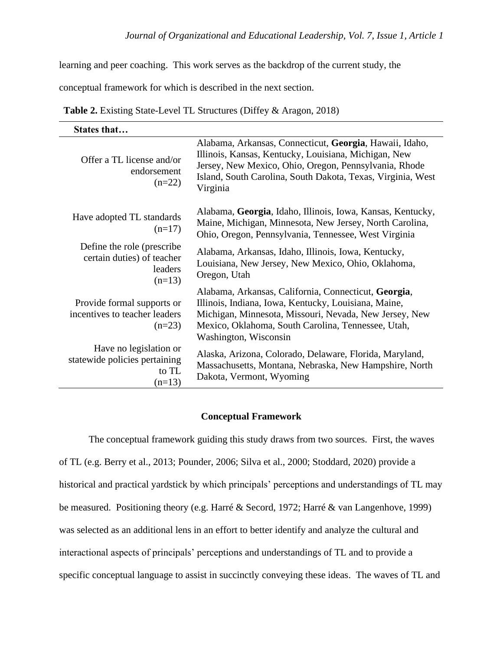learning and peer coaching. This work serves as the backdrop of the current study, the

conceptual framework for which is described in the next section.

**Table 2.** Existing State-Level TL Structures (Diffey & Aragon, 2018)

| States that                                                                     |                                                                                                                                                                                                                                                       |
|---------------------------------------------------------------------------------|-------------------------------------------------------------------------------------------------------------------------------------------------------------------------------------------------------------------------------------------------------|
| Offer a TL license and/or<br>endorsement<br>$(n=22)$                            | Alabama, Arkansas, Connecticut, Georgia, Hawaii, Idaho,<br>Illinois, Kansas, Kentucky, Louisiana, Michigan, New<br>Jersey, New Mexico, Ohio, Oregon, Pennsylvania, Rhode<br>Island, South Carolina, South Dakota, Texas, Virginia, West<br>Virginia   |
| Have adopted TL standards<br>$(n=17)$                                           | Alabama, Georgia, Idaho, Illinois, Iowa, Kansas, Kentucky,<br>Maine, Michigan, Minnesota, New Jersey, North Carolina,<br>Ohio, Oregon, Pennsylvania, Tennessee, West Virginia                                                                         |
| Define the role (prescribe<br>certain duties) of teacher<br>leaders<br>$(n=13)$ | Alabama, Arkansas, Idaho, Illinois, Iowa, Kentucky,<br>Louisiana, New Jersey, New Mexico, Ohio, Oklahoma,<br>Oregon, Utah                                                                                                                             |
| Provide formal supports or<br>incentives to teacher leaders<br>$(n=23)$         | Alabama, Arkansas, California, Connecticut, Georgia,<br>Illinois, Indiana, Iowa, Kentucky, Louisiana, Maine,<br>Michigan, Minnesota, Missouri, Nevada, New Jersey, New<br>Mexico, Oklahoma, South Carolina, Tennessee, Utah,<br>Washington, Wisconsin |
| Have no legislation or<br>statewide policies pertaining<br>to TL<br>$(n=13)$    | Alaska, Arizona, Colorado, Delaware, Florida, Maryland,<br>Massachusetts, Montana, Nebraska, New Hampshire, North<br>Dakota, Vermont, Wyoming                                                                                                         |

# **Conceptual Framework**

The conceptual framework guiding this study draws from two sources. First, the waves of TL (e.g. Berry et al., 2013; Pounder, 2006; Silva et al., 2000; Stoddard, 2020) provide a historical and practical yardstick by which principals' perceptions and understandings of TL may be measured. Positioning theory (e.g. Harré & Secord, 1972; Harré & van Langenhove, 1999) was selected as an additional lens in an effort to better identify and analyze the cultural and interactional aspects of principals' perceptions and understandings of TL and to provide a specific conceptual language to assist in succinctly conveying these ideas. The waves of TL and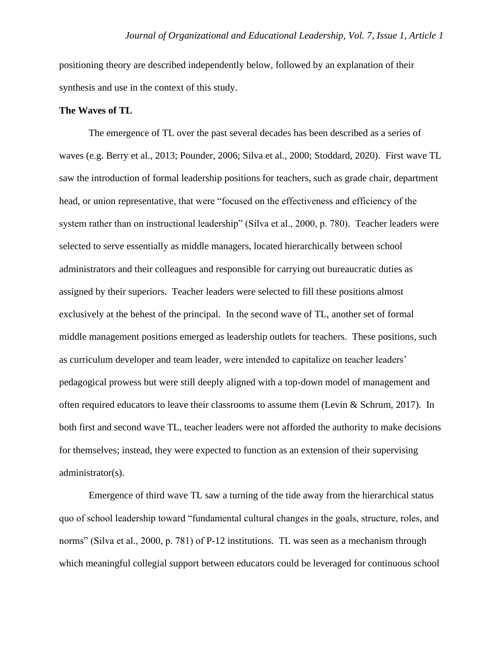positioning theory are described independently below, followed by an explanation of their synthesis and use in the context of this study.

# **The Waves of TL**

The emergence of TL over the past several decades has been described as a series of waves (e.g. Berry et al., 2013; Pounder, 2006; Silva et al., 2000; Stoddard, 2020). First wave TL saw the introduction of formal leadership positions for teachers, such as grade chair, department head, or union representative, that were "focused on the effectiveness and efficiency of the system rather than on instructional leadership" (Silva et al., 2000, p. 780). Teacher leaders were selected to serve essentially as middle managers, located hierarchically between school administrators and their colleagues and responsible for carrying out bureaucratic duties as assigned by their superiors. Teacher leaders were selected to fill these positions almost exclusively at the behest of the principal. In the second wave of TL, another set of formal middle management positions emerged as leadership outlets for teachers. These positions, such as curriculum developer and team leader, were intended to capitalize on teacher leaders' pedagogical prowess but were still deeply aligned with a top-down model of management and often required educators to leave their classrooms to assume them (Levin & Schrum, 2017). In both first and second wave TL, teacher leaders were not afforded the authority to make decisions for themselves; instead, they were expected to function as an extension of their supervising administrator(s).

Emergence of third wave TL saw a turning of the tide away from the hierarchical status quo of school leadership toward "fundamental cultural changes in the goals, structure, roles, and norms" (Silva et al., 2000, p. 781) of P-12 institutions. TL was seen as a mechanism through which meaningful collegial support between educators could be leveraged for continuous school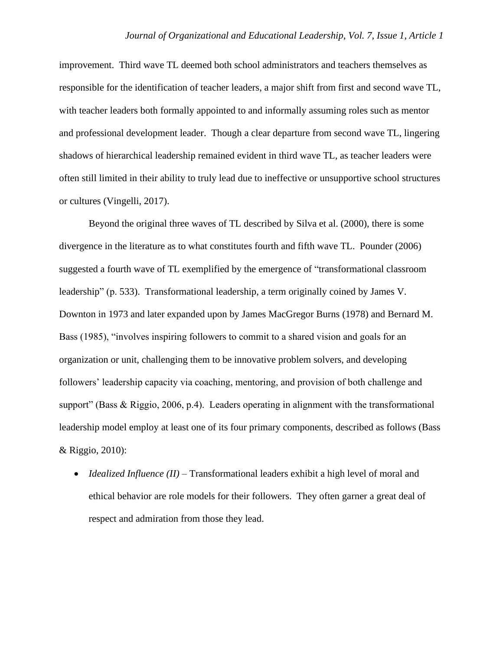improvement. Third wave TL deemed both school administrators and teachers themselves as responsible for the identification of teacher leaders, a major shift from first and second wave TL, with teacher leaders both formally appointed to and informally assuming roles such as mentor and professional development leader. Though a clear departure from second wave TL, lingering shadows of hierarchical leadership remained evident in third wave TL, as teacher leaders were often still limited in their ability to truly lead due to ineffective or unsupportive school structures or cultures (Vingelli, 2017).

Beyond the original three waves of TL described by Silva et al. (2000), there is some divergence in the literature as to what constitutes fourth and fifth wave TL. Pounder (2006) suggested a fourth wave of TL exemplified by the emergence of "transformational classroom leadership" (p. 533). Transformational leadership, a term originally coined by James V. Downton in 1973 and later expanded upon by James MacGregor Burns (1978) and Bernard M. Bass (1985), "involves inspiring followers to commit to a shared vision and goals for an organization or unit, challenging them to be innovative problem solvers, and developing followers' leadership capacity via coaching, mentoring, and provision of both challenge and support" (Bass & Riggio, 2006, p.4). Leaders operating in alignment with the transformational leadership model employ at least one of its four primary components, described as follows (Bass & Riggio, 2010):

• *Idealized Influence (II)* – Transformational leaders exhibit a high level of moral and ethical behavior are role models for their followers. They often garner a great deal of respect and admiration from those they lead.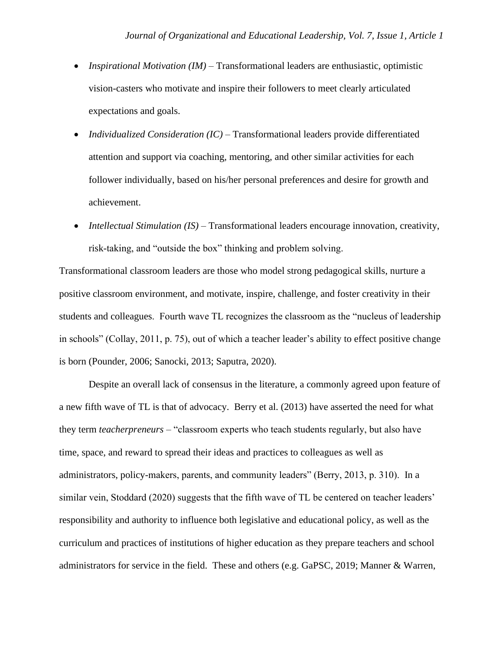- *Inspirational Motivation (IM)* Transformational leaders are enthusiastic, optimistic vision-casters who motivate and inspire their followers to meet clearly articulated expectations and goals.
- *Individualized Consideration (IC)* Transformational leaders provide differentiated attention and support via coaching, mentoring, and other similar activities for each follower individually, based on his/her personal preferences and desire for growth and achievement.
- *Intellectual Stimulation (IS)* Transformational leaders encourage innovation, creativity, risk-taking, and "outside the box" thinking and problem solving.

Transformational classroom leaders are those who model strong pedagogical skills, nurture a positive classroom environment, and motivate, inspire, challenge, and foster creativity in their students and colleagues. Fourth wave TL recognizes the classroom as the "nucleus of leadership in schools" (Collay, 2011, p. 75), out of which a teacher leader's ability to effect positive change is born (Pounder, 2006; Sanocki, 2013; Saputra, 2020).

Despite an overall lack of consensus in the literature, a commonly agreed upon feature of a new fifth wave of TL is that of advocacy. Berry et al. (2013) have asserted the need for what they term *teacherpreneurs* – "classroom experts who teach students regularly, but also have time, space, and reward to spread their ideas and practices to colleagues as well as administrators, policy-makers, parents, and community leaders" (Berry, 2013, p. 310). In a similar vein, Stoddard (2020) suggests that the fifth wave of TL be centered on teacher leaders' responsibility and authority to influence both legislative and educational policy, as well as the curriculum and practices of institutions of higher education as they prepare teachers and school administrators for service in the field. These and others (e.g. GaPSC, 2019; Manner & Warren,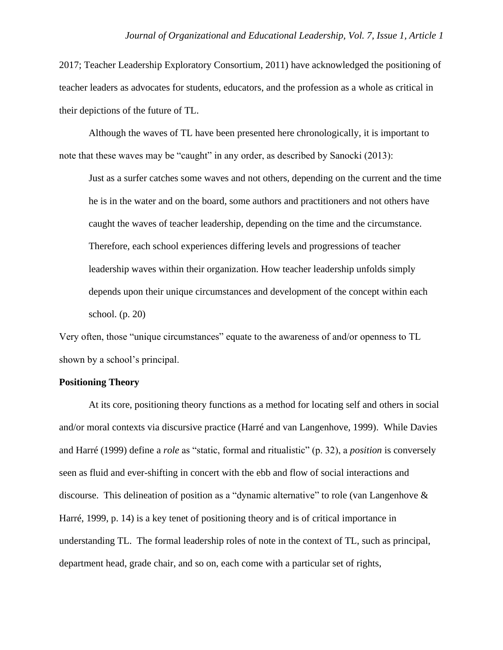2017; Teacher Leadership Exploratory Consortium, 2011) have acknowledged the positioning of teacher leaders as advocates for students, educators, and the profession as a whole as critical in their depictions of the future of TL.

Although the waves of TL have been presented here chronologically, it is important to note that these waves may be "caught" in any order, as described by Sanocki (2013):

Just as a surfer catches some waves and not others, depending on the current and the time he is in the water and on the board, some authors and practitioners and not others have caught the waves of teacher leadership, depending on the time and the circumstance. Therefore, each school experiences differing levels and progressions of teacher leadership waves within their organization. How teacher leadership unfolds simply depends upon their unique circumstances and development of the concept within each school. (p. 20)

Very often, those "unique circumstances" equate to the awareness of and/or openness to TL shown by a school's principal.

# **Positioning Theory**

At its core, positioning theory functions as a method for locating self and others in social and/or moral contexts via discursive practice (Harré and van Langenhove, 1999). While Davies and Harré (1999) define a *role* as "static, formal and ritualistic" (p. 32), a *position* is conversely seen as fluid and ever-shifting in concert with the ebb and flow of social interactions and discourse. This delineation of position as a "dynamic alternative" to role (van Langenhove & Harré, 1999, p. 14) is a key tenet of positioning theory and is of critical importance in understanding TL. The formal leadership roles of note in the context of TL, such as principal, department head, grade chair, and so on, each come with a particular set of rights,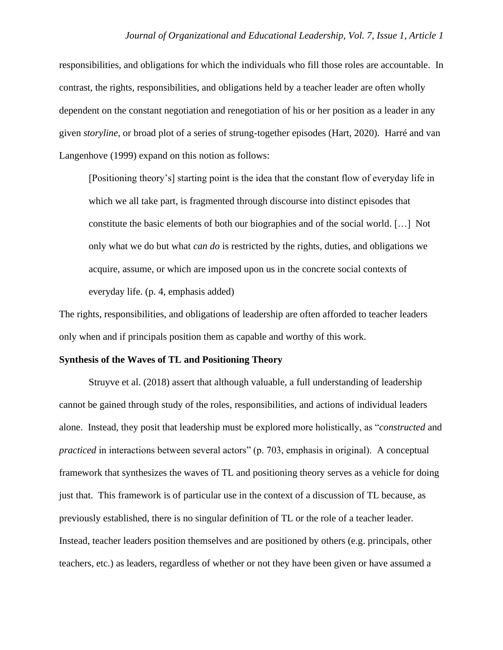responsibilities, and obligations for which the individuals who fill those roles are accountable. In contrast, the rights, responsibilities, and obligations held by a teacher leader are often wholly dependent on the constant negotiation and renegotiation of his or her position as a leader in any given *storyline*, or broad plot of a series of strung-together episodes (Hart, 2020). Harré and van Langenhove (1999) expand on this notion as follows:

[Positioning theory's] starting point is the idea that the constant flow of everyday life in which we all take part, is fragmented through discourse into distinct episodes that constitute the basic elements of both our biographies and of the social world. […] Not only what we do but what *can do* is restricted by the rights, duties, and obligations we acquire, assume, or which are imposed upon us in the concrete social contexts of everyday life. (p. 4, emphasis added)

The rights, responsibilities, and obligations of leadership are often afforded to teacher leaders only when and if principals position them as capable and worthy of this work.

#### **Synthesis of the Waves of TL and Positioning Theory**

Struyve et al. (2018) assert that although valuable, a full understanding of leadership cannot be gained through study of the roles, responsibilities, and actions of individual leaders alone. Instead, they posit that leadership must be explored more holistically, as "*constructed* and *practiced* in interactions between several actors" (p. 703, emphasis in original). A conceptual framework that synthesizes the waves of TL and positioning theory serves as a vehicle for doing just that. This framework is of particular use in the context of a discussion of TL because, as previously established, there is no singular definition of TL or the role of a teacher leader. Instead, teacher leaders position themselves and are positioned by others (e.g. principals, other teachers, etc.) as leaders, regardless of whether or not they have been given or have assumed a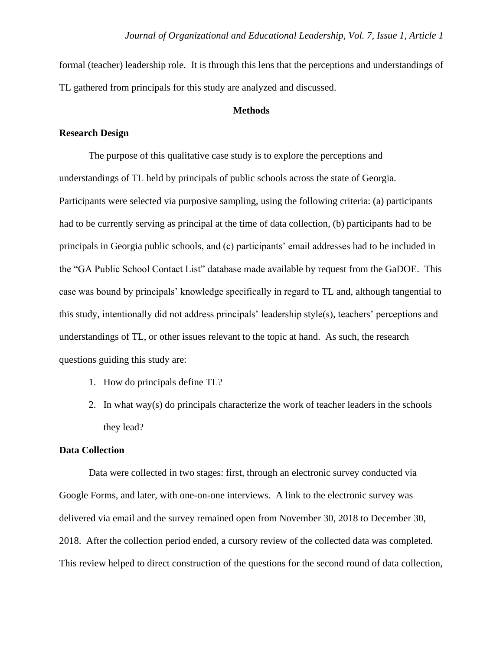formal (teacher) leadership role. It is through this lens that the perceptions and understandings of TL gathered from principals for this study are analyzed and discussed.

# **Methods**

# **Research Design**

The purpose of this qualitative case study is to explore the perceptions and understandings of TL held by principals of public schools across the state of Georgia. Participants were selected via purposive sampling, using the following criteria: (a) participants had to be currently serving as principal at the time of data collection, (b) participants had to be principals in Georgia public schools, and (c) participants' email addresses had to be included in the "GA Public School Contact List" database made available by request from the GaDOE. This case was bound by principals' knowledge specifically in regard to TL and, although tangential to this study, intentionally did not address principals' leadership style(s), teachers' perceptions and understandings of TL, or other issues relevant to the topic at hand. As such, the research questions guiding this study are:

- 1. How do principals define TL?
- 2. In what way(s) do principals characterize the work of teacher leaders in the schools they lead?

# **Data Collection**

Data were collected in two stages: first, through an electronic survey conducted via Google Forms, and later, with one-on-one interviews. A link to the electronic survey was delivered via email and the survey remained open from November 30, 2018 to December 30, 2018. After the collection period ended, a cursory review of the collected data was completed. This review helped to direct construction of the questions for the second round of data collection,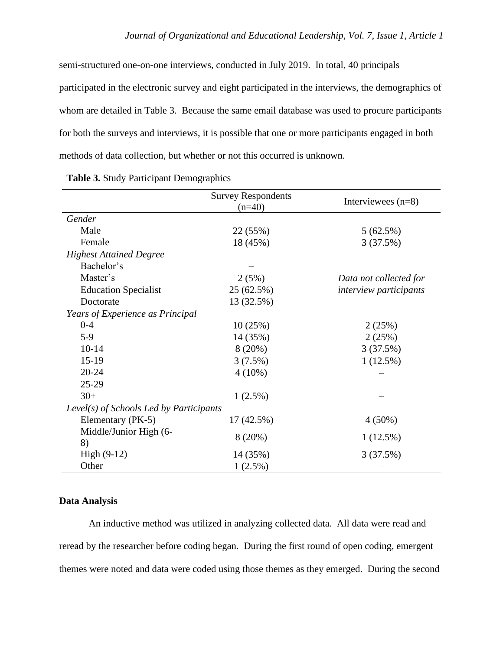semi-structured one-on-one interviews, conducted in July 2019. In total, 40 principals participated in the electronic survey and eight participated in the interviews, the demographics of whom are detailed in Table 3. Because the same email database was used to procure participants for both the surveys and interviews, it is possible that one or more participants engaged in both methods of data collection, but whether or not this occurred is unknown.

|                                         | <b>Survey Respondents</b><br>$(n=40)$ | Interviewees $(n=8)$          |
|-----------------------------------------|---------------------------------------|-------------------------------|
| Gender                                  |                                       |                               |
| Male                                    | 22 (55%)                              | 5(62.5%)                      |
| Female                                  | 18 (45%)                              | 3(37.5%)                      |
| <b>Highest Attained Degree</b>          |                                       |                               |
| Bachelor's                              |                                       |                               |
| Master's                                | 2(5%)                                 | Data not collected for        |
| <b>Education Specialist</b>             | 25 (62.5%)                            | <i>interview participants</i> |
| Doctorate                               | 13 (32.5%)                            |                               |
| Years of Experience as Principal        |                                       |                               |
| $0 - 4$                                 | 10(25%)                               | 2(25%)                        |
| $5-9$                                   | 14 (35%)                              | 2(25%)                        |
| $10 - 14$                               | 8(20%)                                | 3(37.5%)                      |
| $15-19$                                 | 3(7.5%)                               | $1(12.5\%)$                   |
| $20 - 24$                               | $4(10\%)$                             |                               |
| $25-29$                                 |                                       |                               |
| $30+$                                   | $1(2.5\%)$                            |                               |
| Level(s) of Schools Led by Participants |                                       |                               |
| Elementary (PK-5)                       | 17(42.5%)                             | $4(50\%)$                     |
| Middle/Junior High (6-                  | 8(20%)                                | $1(12.5\%)$                   |
| 8)                                      |                                       |                               |
| High $(9-12)$                           | 14 (35%)                              | 3(37.5%)                      |
| Other                                   | 1(2.5%)                               |                               |

| Table 3. Study Participant Demographics |
|-----------------------------------------|
|-----------------------------------------|

# **Data Analysis**

An inductive method was utilized in analyzing collected data. All data were read and reread by the researcher before coding began. During the first round of open coding, emergent themes were noted and data were coded using those themes as they emerged. During the second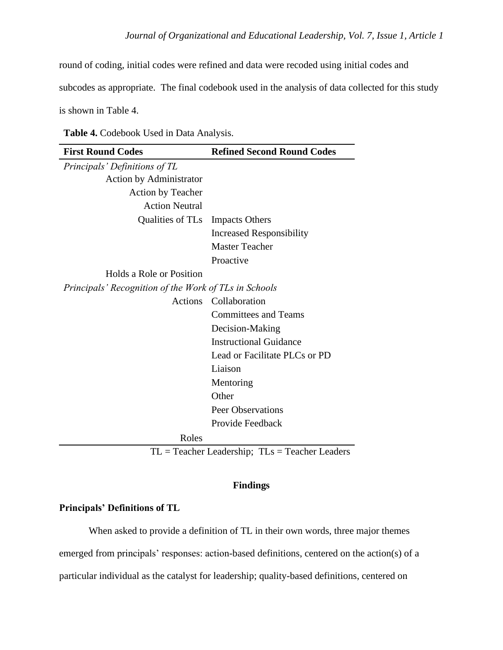round of coding, initial codes were refined and data were recoded using initial codes and

subcodes as appropriate. The final codebook used in the analysis of data collected for this study

is shown in Table 4.

| Table 4. Codebook Used in Data Analysis. |  |  |
|------------------------------------------|--|--|
|------------------------------------------|--|--|

| <b>First Round Codes</b>                              | <b>Refined Second Round Codes</b> |
|-------------------------------------------------------|-----------------------------------|
| Principals' Definitions of TL                         |                                   |
| <b>Action by Administrator</b>                        |                                   |
| <b>Action by Teacher</b>                              |                                   |
| <b>Action Neutral</b>                                 |                                   |
| Qualities of TLs Impacts Others                       |                                   |
|                                                       | <b>Increased Responsibility</b>   |
|                                                       | <b>Master Teacher</b>             |
|                                                       | Proactive                         |
| Holds a Role or Position                              |                                   |
| Principals' Recognition of the Work of TLs in Schools |                                   |
| <b>Actions</b>                                        | Collaboration                     |
|                                                       | <b>Committees and Teams</b>       |
|                                                       | Decision-Making                   |
|                                                       | <b>Instructional Guidance</b>     |
|                                                       | Lead or Facilitate PLCs or PD     |
|                                                       | Liaison                           |
|                                                       | Mentoring                         |
|                                                       | Other                             |
|                                                       | <b>Peer Observations</b>          |
|                                                       | Provide Feedback                  |
| Roles                                                 |                                   |

 $TL = Teacher$  Leadership;  $TLs = Teacher$  Leaders

# **Findings**

# **Principals' Definitions of TL**

When asked to provide a definition of TL in their own words, three major themes emerged from principals' responses: action-based definitions, centered on the action(s) of a particular individual as the catalyst for leadership; quality-based definitions, centered on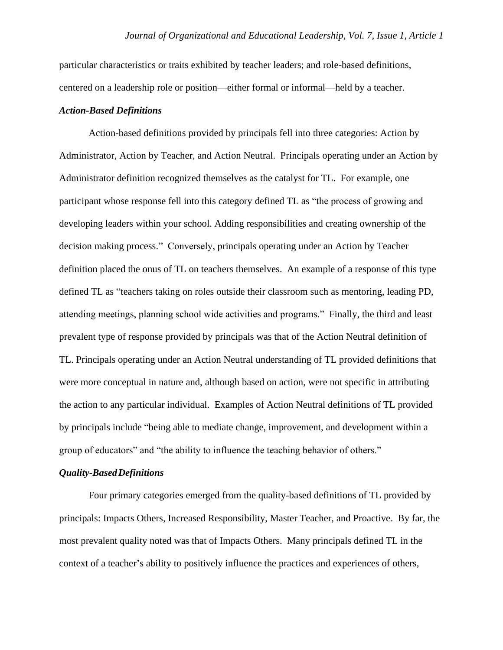particular characteristics or traits exhibited by teacher leaders; and role-based definitions, centered on a leadership role or position—either formal or informal—held by a teacher.

#### *Action-Based Definitions*

Action-based definitions provided by principals fell into three categories: Action by Administrator, Action by Teacher, and Action Neutral. Principals operating under an Action by Administrator definition recognized themselves as the catalyst for TL. For example, one participant whose response fell into this category defined TL as "the process of growing and developing leaders within your school. Adding responsibilities and creating ownership of the decision making process." Conversely, principals operating under an Action by Teacher definition placed the onus of TL on teachers themselves. An example of a response of this type defined TL as "teachers taking on roles outside their classroom such as mentoring, leading PD, attending meetings, planning school wide activities and programs." Finally, the third and least prevalent type of response provided by principals was that of the Action Neutral definition of TL. Principals operating under an Action Neutral understanding of TL provided definitions that were more conceptual in nature and, although based on action, were not specific in attributing the action to any particular individual. Examples of Action Neutral definitions of TL provided by principals include "being able to mediate change, improvement, and development within a group of educators" and "the ability to influence the teaching behavior of others."

#### *Quality-BasedDefinitions*

Four primary categories emerged from the quality-based definitions of TL provided by principals: Impacts Others, Increased Responsibility, Master Teacher, and Proactive. By far, the most prevalent quality noted was that of Impacts Others. Many principals defined TL in the context of a teacher's ability to positively influence the practices and experiences of others,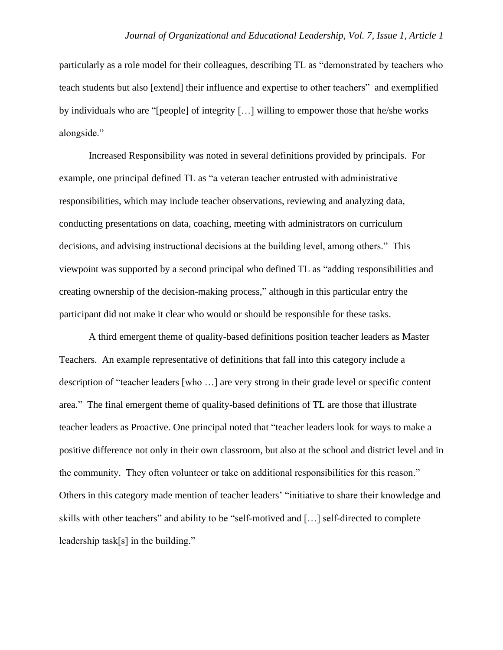particularly as a role model for their colleagues, describing TL as "demonstrated by teachers who teach students but also [extend] their influence and expertise to other teachers" and exemplified by individuals who are "[people] of integrity […] willing to empower those that he/she works alongside."

Increased Responsibility was noted in several definitions provided by principals. For example, one principal defined TL as "a veteran teacher entrusted with administrative responsibilities, which may include teacher observations, reviewing and analyzing data, conducting presentations on data, coaching, meeting with administrators on curriculum decisions, and advising instructional decisions at the building level, among others." This viewpoint was supported by a second principal who defined TL as "adding responsibilities and creating ownership of the decision-making process," although in this particular entry the participant did not make it clear who would or should be responsible for these tasks.

A third emergent theme of quality-based definitions position teacher leaders as Master Teachers. An example representative of definitions that fall into this category include a description of "teacher leaders [who …] are very strong in their grade level or specific content area." The final emergent theme of quality-based definitions of TL are those that illustrate teacher leaders as Proactive. One principal noted that "teacher leaders look for ways to make a positive difference not only in their own classroom, but also at the school and district level and in the community. They often volunteer or take on additional responsibilities for this reason." Others in this category made mention of teacher leaders' "initiative to share their knowledge and skills with other teachers" and ability to be "self-motived and […] self-directed to complete leadership task[s] in the building."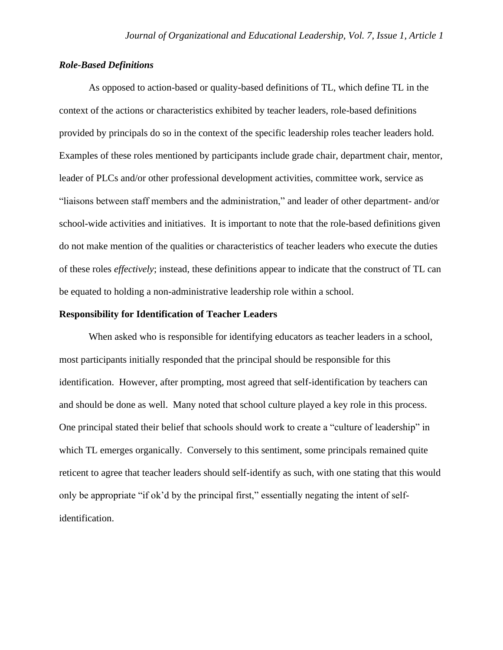# *Role-Based Definitions*

As opposed to action-based or quality-based definitions of TL, which define TL in the context of the actions or characteristics exhibited by teacher leaders, role-based definitions provided by principals do so in the context of the specific leadership roles teacher leaders hold. Examples of these roles mentioned by participants include grade chair, department chair, mentor, leader of PLCs and/or other professional development activities, committee work, service as "liaisons between staff members and the administration," and leader of other department- and/or school-wide activities and initiatives. It is important to note that the role-based definitions given do not make mention of the qualities or characteristics of teacher leaders who execute the duties of these roles *effectively*; instead, these definitions appear to indicate that the construct of TL can be equated to holding a non-administrative leadership role within a school.

# **Responsibility for Identification of Teacher Leaders**

When asked who is responsible for identifying educators as teacher leaders in a school, most participants initially responded that the principal should be responsible for this identification. However, after prompting, most agreed that self-identification by teachers can and should be done as well. Many noted that school culture played a key role in this process. One principal stated their belief that schools should work to create a "culture of leadership" in which TL emerges organically. Conversely to this sentiment, some principals remained quite reticent to agree that teacher leaders should self-identify as such, with one stating that this would only be appropriate "if ok'd by the principal first," essentially negating the intent of selfidentification.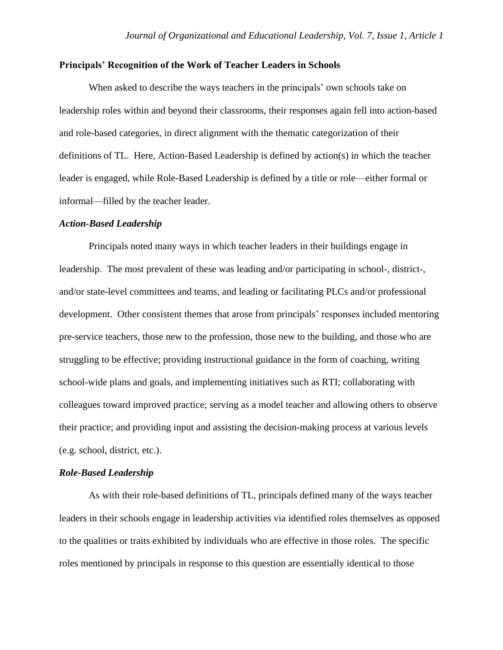# **Principals' Recognition of the Work of Teacher Leaders in Schools**

When asked to describe the ways teachers in the principals' own schools take on leadership roles within and beyond their classrooms, their responses again fell into action-based and role-based categories, in direct alignment with the thematic categorization of their definitions of TL. Here, Action-Based Leadership is defined by action(s) in which the teacher leader is engaged, while Role-Based Leadership is defined by a title or role—either formal or informal—filled by the teacher leader.

#### *Action-Based Leadership*

Principals noted many ways in which teacher leaders in their buildings engage in leadership. The most prevalent of these was leading and/or participating in school-, district-, and/or state-level committees and teams, and leading or facilitating PLCs and/or professional development. Other consistent themes that arose from principals' responses included mentoring pre-service teachers, those new to the profession, those new to the building, and those who are struggling to be effective; providing instructional guidance in the form of coaching, writing school-wide plans and goals, and implementing initiatives such as RTI; collaborating with colleagues toward improved practice; serving as a model teacher and allowing others to observe their practice; and providing input and assisting the decision-making process at various levels (e.g. school, district, etc.).

## *Role-Based Leadership*

As with their role-based definitions of TL, principals defined many of the ways teacher leaders in their schools engage in leadership activities via identified roles themselves as opposed to the qualities or traits exhibited by individuals who are effective in those roles. The specific roles mentioned by principals in response to this question are essentially identical to those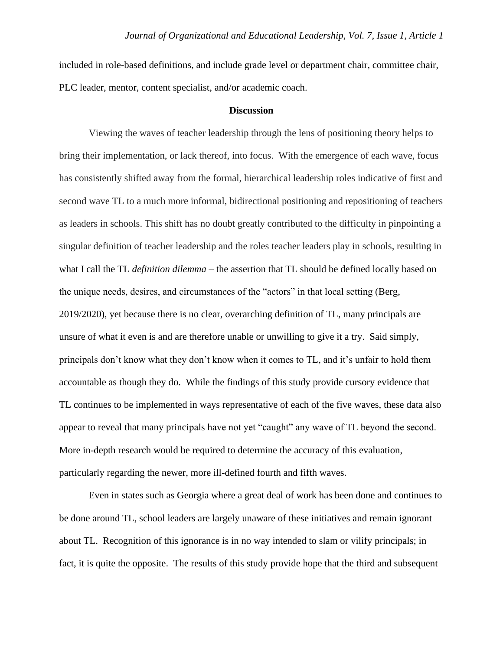included in role-based definitions, and include grade level or department chair, committee chair, PLC leader, mentor, content specialist, and/or academic coach.

## **Discussion**

Viewing the waves of teacher leadership through the lens of positioning theory helps to bring their implementation, or lack thereof, into focus. With the emergence of each wave, focus has consistently shifted away from the formal, hierarchical leadership roles indicative of first and second wave TL to a much more informal, bidirectional positioning and repositioning of teachers as leaders in schools. This shift has no doubt greatly contributed to the difficulty in pinpointing a singular definition of teacher leadership and the roles teacher leaders play in schools, resulting in what I call the TL *definition dilemma* – the assertion that TL should be defined locally based on the unique needs, desires, and circumstances of the "actors" in that local setting (Berg, 2019/2020), yet because there is no clear, overarching definition of TL, many principals are unsure of what it even is and are therefore unable or unwilling to give it a try. Said simply, principals don't know what they don't know when it comes to TL, and it's unfair to hold them accountable as though they do. While the findings of this study provide cursory evidence that TL continues to be implemented in ways representative of each of the five waves, these data also appear to reveal that many principals have not yet "caught" any wave of TL beyond the second. More in-depth research would be required to determine the accuracy of this evaluation, particularly regarding the newer, more ill-defined fourth and fifth waves.

Even in states such as Georgia where a great deal of work has been done and continues to be done around TL, school leaders are largely unaware of these initiatives and remain ignorant about TL. Recognition of this ignorance is in no way intended to slam or vilify principals; in fact, it is quite the opposite. The results of this study provide hope that the third and subsequent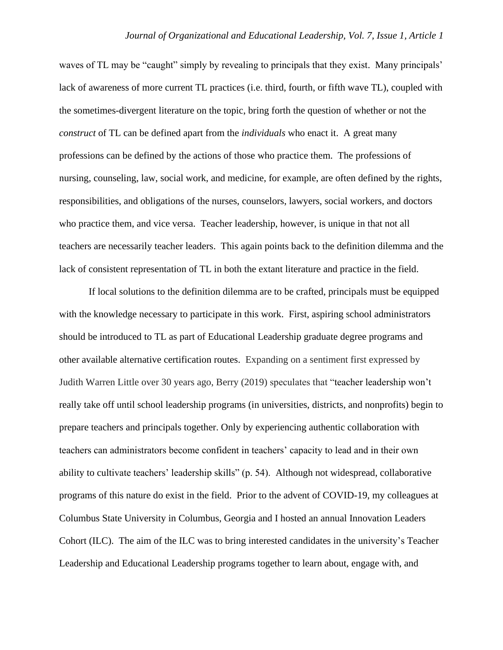waves of TL may be "caught" simply by revealing to principals that they exist. Many principals' lack of awareness of more current TL practices (i.e. third, fourth, or fifth wave TL), coupled with the sometimes-divergent literature on the topic, bring forth the question of whether or not the *construct* of TL can be defined apart from the *individuals* who enact it. A great many professions can be defined by the actions of those who practice them. The professions of nursing, counseling, law, social work, and medicine, for example, are often defined by the rights, responsibilities, and obligations of the nurses, counselors, lawyers, social workers, and doctors who practice them, and vice versa. Teacher leadership, however, is unique in that not all teachers are necessarily teacher leaders. This again points back to the definition dilemma and the lack of consistent representation of TL in both the extant literature and practice in the field.

If local solutions to the definition dilemma are to be crafted, principals must be equipped with the knowledge necessary to participate in this work. First, aspiring school administrators should be introduced to TL as part of Educational Leadership graduate degree programs and other available alternative certification routes. Expanding on a sentiment first expressed by Judith Warren Little over 30 years ago, Berry (2019) speculates that "teacher leadership won't really take off until school leadership programs (in universities, districts, and nonprofits) begin to prepare teachers and principals together. Only by experiencing authentic collaboration with teachers can administrators become confident in teachers' capacity to lead and in their own ability to cultivate teachers' leadership skills" (p. 54). Although not widespread, collaborative programs of this nature do exist in the field. Prior to the advent of COVID-19, my colleagues at Columbus State University in Columbus, Georgia and I hosted an annual Innovation Leaders Cohort (ILC). The aim of the ILC was to bring interested candidates in the university's Teacher Leadership and Educational Leadership programs together to learn about, engage with, and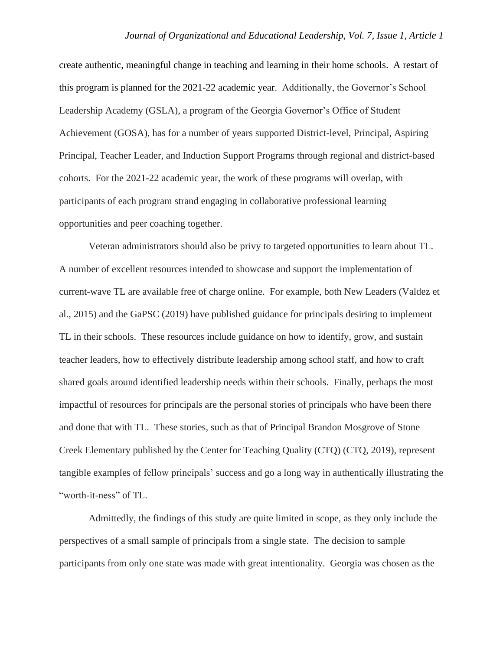create authentic, meaningful change in teaching and learning in their home schools. A restart of this program is planned for the 2021-22 academic year. Additionally, the Governor's School Leadership Academy (GSLA), a program of the Georgia Governor's Office of Student Achievement (GOSA), has for a number of years supported District-level, Principal, Aspiring Principal, Teacher Leader, and Induction Support Programs through regional and district-based cohorts. For the 2021-22 academic year, the work of these programs will overlap, with participants of each program strand engaging in collaborative professional learning opportunities and peer coaching together.

Veteran administrators should also be privy to targeted opportunities to learn about TL. A number of excellent resources intended to showcase and support the implementation of current-wave TL are available free of charge online. For example, both New Leaders (Valdez et al., 2015) and the GaPSC (2019) have published guidance for principals desiring to implement TL in their schools. These resources include guidance on how to identify, grow, and sustain teacher leaders, how to effectively distribute leadership among school staff, and how to craft shared goals around identified leadership needs within their schools. Finally, perhaps the most impactful of resources for principals are the personal stories of principals who have been there and done that with TL. These stories, such as that of Principal Brandon Mosgrove of Stone Creek Elementary published by the Center for Teaching Quality (CTQ) (CTQ, 2019), represent tangible examples of fellow principals' success and go a long way in authentically illustrating the "worth-it-ness" of TL.

Admittedly, the findings of this study are quite limited in scope, as they only include the perspectives of a small sample of principals from a single state. The decision to sample participants from only one state was made with great intentionality. Georgia was chosen as the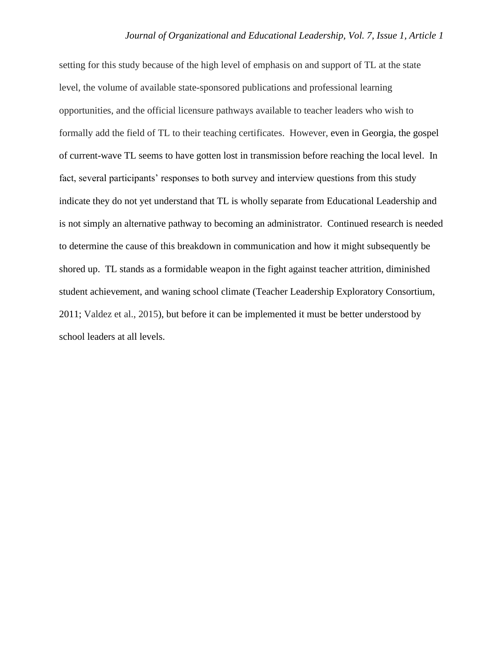setting for this study because of the high level of emphasis on and support of TL at the state level, the volume of available state-sponsored publications and professional learning opportunities, and the official licensure pathways available to teacher leaders who wish to formally add the field of TL to their teaching certificates. However, even in Georgia, the gospel of current-wave TL seems to have gotten lost in transmission before reaching the local level. In fact, several participants' responses to both survey and interview questions from this study indicate they do not yet understand that TL is wholly separate from Educational Leadership and is not simply an alternative pathway to becoming an administrator. Continued research is needed to determine the cause of this breakdown in communication and how it might subsequently be shored up. TL stands as a formidable weapon in the fight against teacher attrition, diminished student achievement, and waning school climate (Teacher Leadership Exploratory Consortium, 2011; Valdez et al., 2015), but before it can be implemented it must be better understood by school leaders at all levels.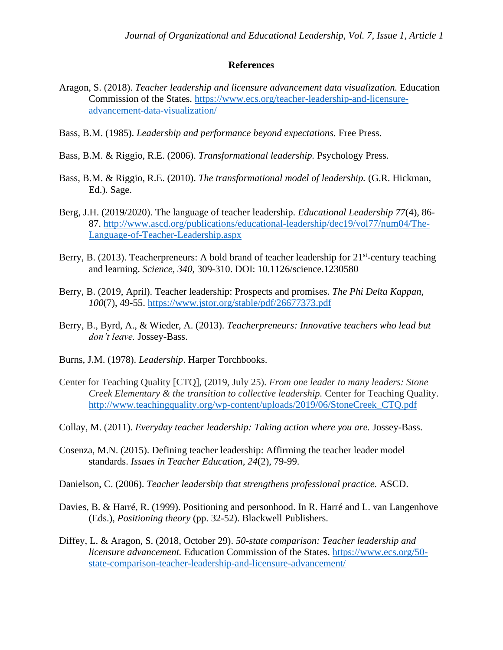# **References**

- Aragon, S. (2018). *Teacher leadership and licensure advancement data visualization.* Education Commission of the States. [https://www.ecs.org/teacher-leadership-and-licensure](https://www.ecs.org/teacher-leadership-and-licensure-advancement-data-visualization/)[advancement-data-visualization/](https://www.ecs.org/teacher-leadership-and-licensure-advancement-data-visualization/)
- Bass, B.M. (1985). *Leadership and performance beyond expectations.* Free Press.
- Bass, B.M. & Riggio, R.E. (2006). *Transformational leadership.* Psychology Press.
- Bass, B.M. & Riggio, R.E. (2010). *The transformational model of leadership.* (G.R. Hickman, Ed.). Sage.
- Berg, J.H. (2019/2020). The language of teacher leadership. *Educational Leadership 77*(4), 86- 87. [http://www.ascd.org/publications/educational-leadership/dec19/vol77/num04/The-](http://www.ascd.org/publications/educational-leadership/dec19/vol77/num04/The-Language-of-Teacher-Leadership.aspx)[Language-of-Teacher-Leadership.aspx](http://www.ascd.org/publications/educational-leadership/dec19/vol77/num04/The-Language-of-Teacher-Leadership.aspx)
- Berry, B. (2013). Teacherpreneurs: A bold brand of teacher leadership for 21<sup>st</sup>-century teaching and learning. *Science, 340*, 309-310. DOI: 10.1126/science.1230580
- Berry, B. (2019, April). Teacher leadership: Prospects and promises. *The Phi Delta Kappan, 100*(7), 49-55. <https://www.jstor.org/stable/pdf/26677373.pdf>
- Berry, B., Byrd, A., & Wieder, A. (2013). *Teacherpreneurs: Innovative teachers who lead but don't leave.* Jossey-Bass.
- Burns, J.M. (1978). *Leadership*. Harper Torchbooks.
- Center for Teaching Quality [CTQ], (2019, July 25). *From one leader to many leaders: Stone Creek Elementary & the transition to collective leadership.* Center for Teaching Quality. [http://www.teachingquality.org/wp-content/uploads/2019/06/StoneCreek\\_CTQ.pdf](http://www.teachingquality.org/wp-content/uploads/2019/06/StoneCreek_CTQ.pdf)
- Collay, M. (2011). *Everyday teacher leadership: Taking action where you are.* Jossey-Bass.
- Cosenza, M.N. (2015). Defining teacher leadership: Affirming the teacher leader model standards. *Issues in Teacher Education, 24*(2), 79-99.
- Danielson, C. (2006). *Teacher leadership that strengthens professional practice.* ASCD.
- Davies, B. & Harré, R. (1999). Positioning and personhood. In R. Harré and L. van Langenhove (Eds.), *Positioning theory* (pp. 32-52). Blackwell Publishers.
- Diffey, L. & Aragon, S. (2018, October 29). *50-state comparison: Teacher leadership and licensure advancement.* Education Commission of the States. [https://www.ecs.org/50](https://www.ecs.org/50-state-comparison-teacher-leadership-and-licensure-advancement/) [state-comparison-teacher-leadership-and-licensure-advancement/](https://www.ecs.org/50-state-comparison-teacher-leadership-and-licensure-advancement/)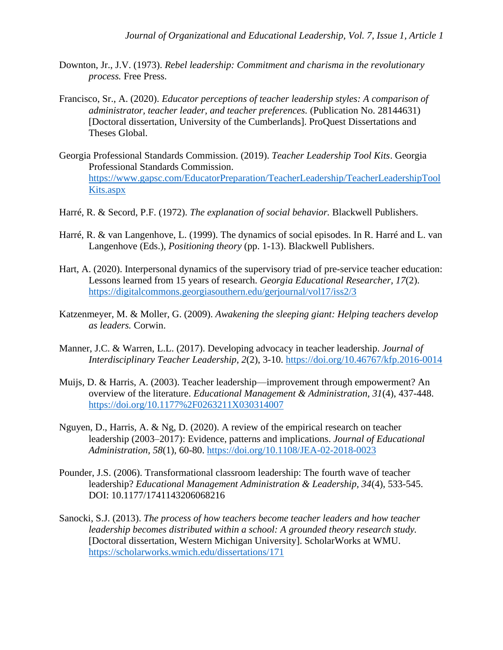- Downton, Jr., J.V. (1973). *Rebel leadership: Commitment and charisma in the revolutionary process.* Free Press.
- Francisco, Sr., A. (2020). *Educator perceptions of teacher leadership styles: A comparison of administrator, teacher leader, and teacher preferences.* (Publication No. 28144631) [Doctoral dissertation, University of the Cumberlands]. ProQuest Dissertations and Theses Global.
- Georgia Professional Standards Commission. (2019). *Teacher Leadership Tool Kits*. Georgia Professional Standards Commission. [https://www.gapsc.com/EducatorPreparation/TeacherLeadership/TeacherLeadershipTool](https://www.gapsc.com/EducatorPreparation/TeacherLeadership/TeacherLeadershipToolKits.aspx) [Kits.aspx](https://www.gapsc.com/EducatorPreparation/TeacherLeadership/TeacherLeadershipToolKits.aspx)
- Harré, R. & Secord, P.F. (1972). *The explanation of social behavior.* Blackwell Publishers.
- Harré, R. & van Langenhove, L. (1999). The dynamics of social episodes. In R. Harré and L. van Langenhove (Eds.), *Positioning theory* (pp. 1-13). Blackwell Publishers.
- Hart, A. (2020). Interpersonal dynamics of the supervisory triad of pre-service teacher education: Lessons learned from 15 years of research. *Georgia Educational Researcher, 17*(2). <https://digitalcommons.georgiasouthern.edu/gerjournal/vol17/iss2/3>
- Katzenmeyer, M. & Moller, G. (2009). *Awakening the sleeping giant: Helping teachers develop as leaders.* Corwin.
- Manner, J.C. & Warren, L.L. (2017). Developing advocacy in teacher leadership. *Journal of Interdisciplinary Teacher Leadership, 2*(2), 3-10.<https://doi.org/10.46767/kfp.2016-0014>
- Muijs, D. & Harris, A. (2003). Teacher leadership—improvement through empowerment? An overview of the literature. *Educational Management & Administration, 31*(4), 437-448. <https://doi.org/10.1177%2F0263211X030314007>
- Nguyen, D., Harris, A. & Ng, D. (2020). A review of the empirical research on teacher leadership (2003–2017): Evidence, patterns and implications. *Journal of Educational Administration, 58*(1), 60-80. <https://doi.org/10.1108/JEA-02-2018-0023>
- Pounder, J.S. (2006). Transformational classroom leadership: The fourth wave of teacher leadership? *Educational Management Administration & Leadership, 34*(4), 533-545. DOI: 10.1177/1741143206068216
- Sanocki, S.J. (2013). *The process of how teachers become teacher leaders and how teacher leadership becomes distributed within a school: A grounded theory research study.* [Doctoral dissertation, Western Michigan University]. ScholarWorks at WMU. <https://scholarworks.wmich.edu/dissertations/171>